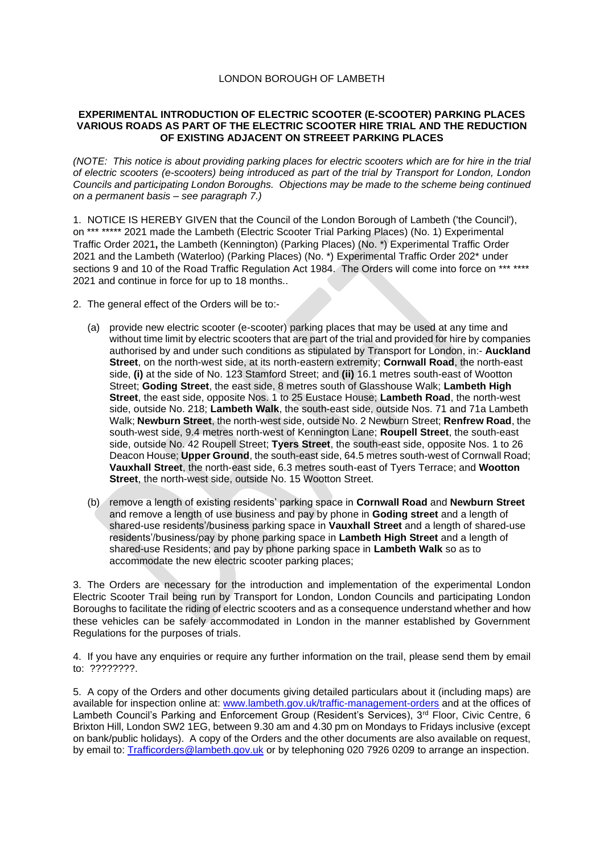## LONDON BOROUGH OF LAMBETH

## **EXPERIMENTAL INTRODUCTION OF ELECTRIC SCOOTER (E-SCOOTER) PARKING PLACES VARIOUS ROADS AS PART OF THE ELECTRIC SCOOTER HIRE TRIAL AND THE REDUCTION OF EXISTING ADJACENT ON STREEET PARKING PLACES**

*(NOTE: This notice is about providing parking places for electric scooters which are for hire in the trial of electric scooters (e-scooters) being introduced as part of the trial by Transport for London, London Councils and participating London Boroughs. Objections may be made to the scheme being continued on a permanent basis – see paragraph 7.)*

1. NOTICE IS HEREBY GIVEN that the Council of the London Borough of Lambeth ('the Council'), on \*\*\* \*\*\*\*\* 2021 made the Lambeth (Electric Scooter Trial Parking Places) (No. 1) Experimental Traffic Order 2021**,** the Lambeth (Kennington) (Parking Places) (No. \*) Experimental Traffic Order 2021 and the Lambeth (Waterloo) (Parking Places) (No. \*) Experimental Traffic Order 202\* under sections 9 and 10 of the Road Traffic Regulation Act 1984. The Orders will come into force on \*\*\* \*\*\*\* 2021 and continue in force for up to 18 months..

- 2. The general effect of the Orders will be to:-
	- (a) provide new electric scooter (e-scooter) parking places that may be used at any time and without time limit by electric scooters that are part of the trial and provided for hire by companies authorised by and under such conditions as stipulated by Transport for London, in:- **Auckland Street**, on the north-west side, at its north-eastern extremity; **Cornwall Road**, the north-east side, **(i)** at the side of No. 123 Stamford Street; and **(ii)** 16.1 metres south-east of Wootton Street; **Goding Street**, the east side, 8 metres south of Glasshouse Walk; **Lambeth High Street**, the east side, opposite Nos. 1 to 25 Eustace House; **Lambeth Road**, the north-west side, outside No. 218; **Lambeth Walk**, the south-east side, outside Nos. 71 and 71a Lambeth Walk; **Newburn Street**, the north-west side, outside No. 2 Newburn Street; **Renfrew Road**, the south-west side, 9.4 metres north-west of Kennington Lane; **Roupell Street**, the south-east side, outside No. 42 Roupell Street; **Tyers Street**, the south-east side, opposite Nos. 1 to 26 Deacon House; **Upper Ground**, the south-east side, 64.5 metres south-west of Cornwall Road; **Vauxhall Street**, the north-east side, 6.3 metres south-east of Tyers Terrace; and **Wootton Street**, the north-west side, outside No. 15 Wootton Street.
	- (b) remove a length of existing residents' parking space in **Cornwall Road** and **Newburn Street** and remove a length of use business and pay by phone in **Goding street** and a length of shared-use residents'/business parking space in **Vauxhall Street** and a length of shared-use residents'/business/pay by phone parking space in **Lambeth High Street** and a length of shared-use Residents; and pay by phone parking space in **Lambeth Walk** so as to accommodate the new electric scooter parking places;

3. The Orders are necessary for the introduction and implementation of the experimental London Electric Scooter Trail being run by Transport for London, London Councils and participating London Boroughs to facilitate the riding of electric scooters and as a consequence understand whether and how these vehicles can be safely accommodated in London in the manner established by Government Regulations for the purposes of trials.

4. If you have any enquiries or require any further information on the trail, please send them by email to: ????????.

5. A copy of the Orders and other documents giving detailed particulars about it (including maps) are available for inspection online at: [www.lambeth.gov.uk/traffic-management-orders](https://eur01.safelinks.protection.outlook.com/?url=http%3A%2F%2Fwww.lambeth.gov.uk%2Ftraffic-management-orders&data=04%7C01%7CSahil.Dalsania%40projectcentre.co.uk%7C5ce743dd1b904ca693f308d915636cbb%7C3734172ae82a4ac7a3d302949970d5e6%7C0%7C0%7C637564339036623842%7CUnknown%7CTWFpbGZsb3d8eyJWIjoiMC4wLjAwMDAiLCJQIjoiV2luMzIiLCJBTiI6Ik1haWwiLCJXVCI6Mn0%3D%7C1000&sdata=haAJy9ZIGbZuHBmDuCqtuJ6iuG4XfuL6iJcL9%2Blih%2B4%3D&reserved=0) and at the offices of Lambeth Council's Parking and Enforcement Group (Resident's Services), 3<sup>rd</sup> Floor, Civic Centre, 6 Brixton Hill, London SW2 1EG, between 9.30 am and 4.30 pm on Mondays to Fridays inclusive (except on bank/public holidays). A copy of the Orders and the other documents are also available on request, by email to: [Trafficorders@lambeth.gov.uk](mailto:Trafficorders@lambeth.gov.uk) or by telephoning 020 7926 0209 to arrange an inspection.